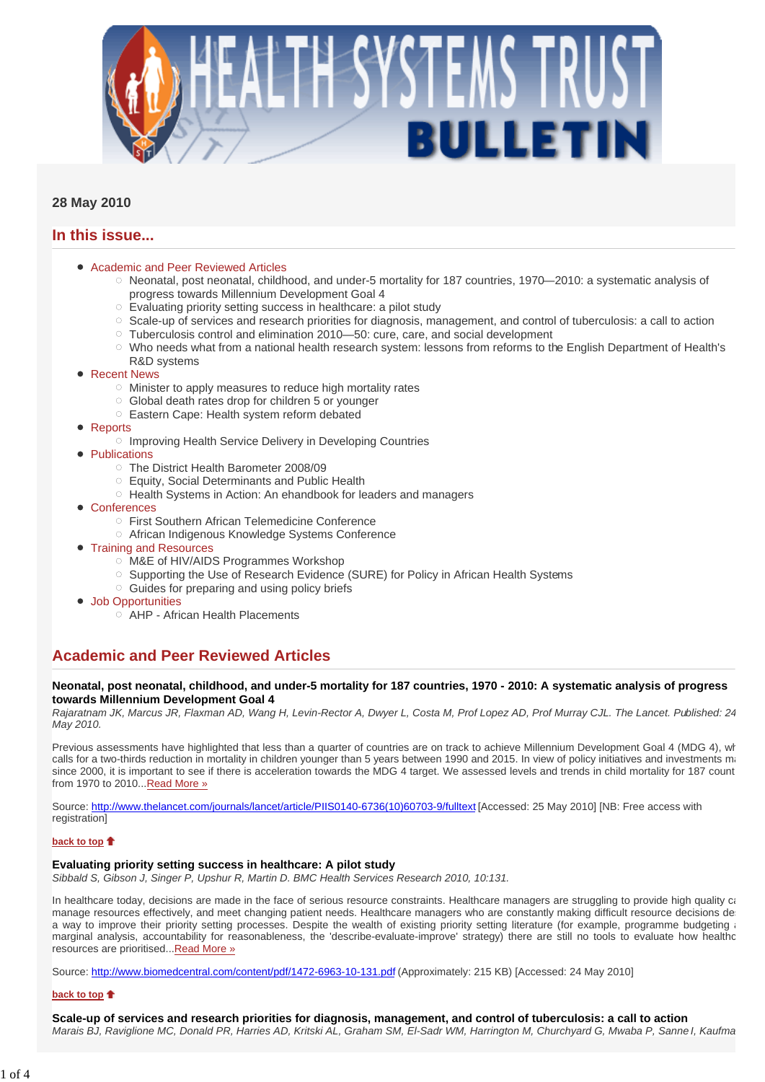

## **28 May 2010**

# **In this issue...**

- Academic and Peer Reviewed Articles
	- $\circ$  Neonatal, post neonatal, childhood, and under-5 mortality for 187 countries, 1970—2010: a systematic analysis of progress towards Millennium Development Goal 4
	- Evaluating priority setting success in healthcare: a pilot study
	- $\circ$  Scale-up of services and research priorities for diagnosis, management, and control of tuberculosis: a call to action
	- $\circ$  Tuberculosis control and elimination 2010—50: cure, care, and social development
	- o Who needs what from a national health research system: lessons from reforms to the English Department of Health's R&D systems
- Recent News
	- $\circ$  Minister to apply measures to reduce high mortality rates
	- Global death rates drop for children 5 or younger
	- Eastern Cape: Health system reform debated
- **Reports** 
	- o Improving Health Service Delivery in Developing Countries
- **Publications** 
	- The District Health Barometer 2008/09
	- Equity, Social Determinants and Public Health
	- o Health Systems in Action: An ehandbook for leaders and managers
- Conferences
	- First Southern African Telemedicine Conference
	- African Indigenous Knowledge Systems Conference
- **Training and Resources** 
	- M&E of HIV/AIDS Programmes Workshop
	- Supporting the Use of Research Evidence (SURE) for Policy in African Health Systems
	- $\circ$  Guides for preparing and using policy briefs
- Job Opportunities
	- $\overrightarrow{O}$  AHP African Health Placements

# **Academic and Peer Reviewed Articles**

### **Neonatal, post neonatal, childhood, and under-5 mortality for 187 countries, 1970 - 2010: A systematic analysis of progress towards Millennium Development Goal 4**

*Rajaratnam JK, Marcus JR, Flaxman AD, Wang H, Levin-Rector A, Dwyer L, Costa M, Prof Lopez AD, Prof Murray CJL. The Lancet. Published: 24 May 2010.* 

Previous assessments have highlighted that less than a quarter of countries are on track to achieve Millennium Development Goal 4 (MDG 4), wh calls for a two-thirds reduction in mortality in children younger than 5 years between 1990 and 2015. In view of policy initiatives and investments may since 2000, it is important to see if there is acceleration towards the MDG 4 target. We assessed levels and trends in child mortality for 187 count from 1970 to 2010... Read More »

Source: http://www.thelancet.com/journals/lancet/article/PIIS0140-6736(10)60703-9/fulltext [Accessed: 25 May 2010] [NB: Free access with registration]

## **back to top**

## **Evaluating priority setting success in healthcare: A pilot study**

*Sibbald S, Gibson J, Singer P, Upshur R, Martin D. BMC Health Services Research 2010, 10:131.* 

In healthcare today, decisions are made in the face of serious resource constraints. Healthcare managers are struggling to provide high quality can manage resources effectively, and meet changing patient needs. Healthcare managers who are constantly making difficult resource decisions des a way to improve their priority setting processes. Despite the wealth of existing priority setting literature (for example, programme budgeting a marginal analysis, accountability for reasonableness, the 'describe-evaluate-improve' strategy) there are still no tools to evaluate how healthc resources are prioritised...Read More »

Source: http://www.biomedcentral.com/content/pdf/1472-6963-10-131.pdf (Approximately: 215 KB) [Accessed: 24 May 2010]

#### **back to top**

**Scale-up of services and research priorities for diagnosis, management, and control of tuberculosis: a call to action** *Marais BJ, Raviglione MC, Donald PR, Harries AD, Kritski AL, Graham SM, El-Sadr WM, Harrington M, Churchyard G, Mwaba P, Sanne I, Kaufma*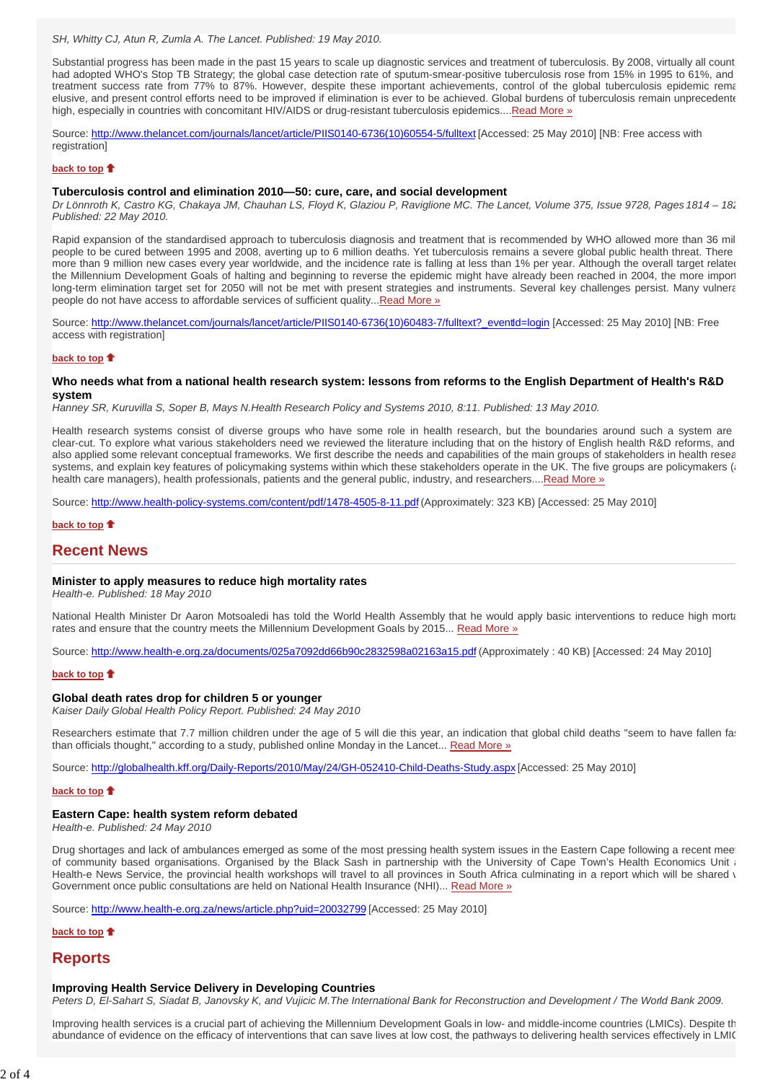SH, Whitty CJ, Atun R, Zumla A. The Lancet. Published: 19 May 2010.

Substantial progress has been made in the past 15 years to scale up diagnostic services and treatment of tuberculosis. By 2008, virtually all count had adopted WHO's Stop TB Strategy; the global case detection rate of sputum-smear-positive tuberculosis rose from 15% in 1995 to 61%, and treatment success rate from 77% to 87%. However, despite these important achievements, control of the global tuberculosis epidemic rema elusive, and present control efforts need to be improved if elimination is ever to be achieved. Global burdens of tuberculosis remain unprecedente high, especially in countries with concomitant HIV/AIDS or drug-resistant tuberculosis epidemics....Read More »

Source: http://www.thelancet.com/journals/lancet/article/PIIS0140-6736(10)60554-5/fulltext [Accessed: 25 May 2010] [NB: Free access with registration]

#### **back to top**

#### **Tuberculosis control and elimination 2010—50: cure, care, and social development**

*Dr Lönnroth K, Castro KG, Chakaya JM, Chauhan LS, Floyd K, Glaziou P, Raviglione MC. The Lancet, Volume 375, Issue 9728, Pages 1814 – 182 Published: 22 May 2010.*

Rapid expansion of the standardised approach to tuberculosis diagnosis and treatment that is recommended by WHO allowed more than 36 mil people to be cured between 1995 and 2008, averting up to 6 million deaths. Yet tuberculosis remains a severe global public health threat. There more than 9 million new cases every year worldwide, and the incidence rate is falling at less than 1% per year. Although the overall target related the Millennium Development Goals of halting and beginning to reverse the epidemic might have already been reached in 2004, the more import long-term elimination target set for 2050 will not be met with present strategies and instruments. Several key challenges persist. Many vulnera people do not have access to affordable services of sufficient quality...Read More »

Source: http://www.thelancet.com/journals/lancet/article/PIIS0140-6736(10)60483-7/fulltext?\_eventId=login [Accessed: 25 May 2010] [NB: Free access with registration]

#### **back to top**

### **Who needs what from a national health research system: lessons from reforms to the English Department of Health's R&D system**

*Hanney SR, Kuruvilla S, Soper B, Mays N.Health Research Policy and Systems 2010, 8:11. Published: 13 May 2010.* 

Health research systems consist of diverse groups who have some role in health research, but the boundaries around such a system are clear-cut. To explore what various stakeholders need we reviewed the literature including that on the history of English health R&D reforms, and also applied some relevant conceptual frameworks. We first describe the needs and capabilities of the main groups of stakeholders in health resea systems, and explain key features of policymaking systems within which these stakeholders operate in the UK. The five groups are policymakers (and the UK. The five groups are policymakers (and the UK) health care managers), health professionals, patients and the general public, industry, and researchers....Read More »

Source: http://www.health-policy-systems.com/content/pdf/1478-4505-8-11.pdf (Approximately: 323 KB) [Accessed: 25 May 2010]

### **back to top**

## **Recent News**

#### **Minister to apply measures to reduce high mortality rates**

*Health-e. Published: 18 May 2010*

National Health Minister Dr Aaron Motsoaledi has told the World Health Assembly that he would apply basic interventions to reduce high morta rates and ensure that the country meets the Millennium Development Goals by 2015... Read More »

Source: http://www.health-e.org.za/documents/025a7092dd66b90c2832598a02163a15.pdf (Approximately : 40 KB) [Accessed: 24 May 2010]

## **back to top**<sup>t</sup>

### **Global death rates drop for children 5 or younger**

*Kaiser Daily Global Health Policy Report. Published: 24 May 2010*

Researchers estimate that 7.7 million children under the age of 5 will die this year, an indication that global child deaths "seem to have fallen fas than officials thought," according to a study, published online Monday in the Lancet... Read More »

Source: http://globalhealth.kff.org/Daily-Reports/2010/May/24/GH-052410-Child-Deaths-Study.aspx [Accessed: 25 May 2010]

#### **back to top**

#### **Eastern Cape: health system reform debated**

*Health-e. Published: 24 May 2010*

Drug shortages and lack of ambulances emerged as some of the most pressing health system issues in the Eastern Cape following a recent mee of community based organisations. Organised by the Black Sash in partnership with the University of Cape Town's Health Economics Unit a Health-e News Service, the provincial health workshops will travel to all provinces in South Africa culminating in a report which will be shared v Government once public consultations are held on National Health Insurance (NHI)... Read More »

Source: http://www.health-e.org.za/news/article.php?uid=20032799 [Accessed: 25 May 2010]

**back to top**

## **Reports**

## **Improving Health Service Delivery in Developing Countries**

*Peters D, El-Sahart S, Siadat B, Janovsky K, and Vujicic M.The International Bank for Reconstruction and Development / The World Bank 2009.* 

Improving health services is a crucial part of achieving the Millennium Development Goals in low- and middle-income countries (LMICs). Despite th abundance of evidence on the efficacy of interventions that can save lives at low cost, the pathways to delivering health services effectively in LMIC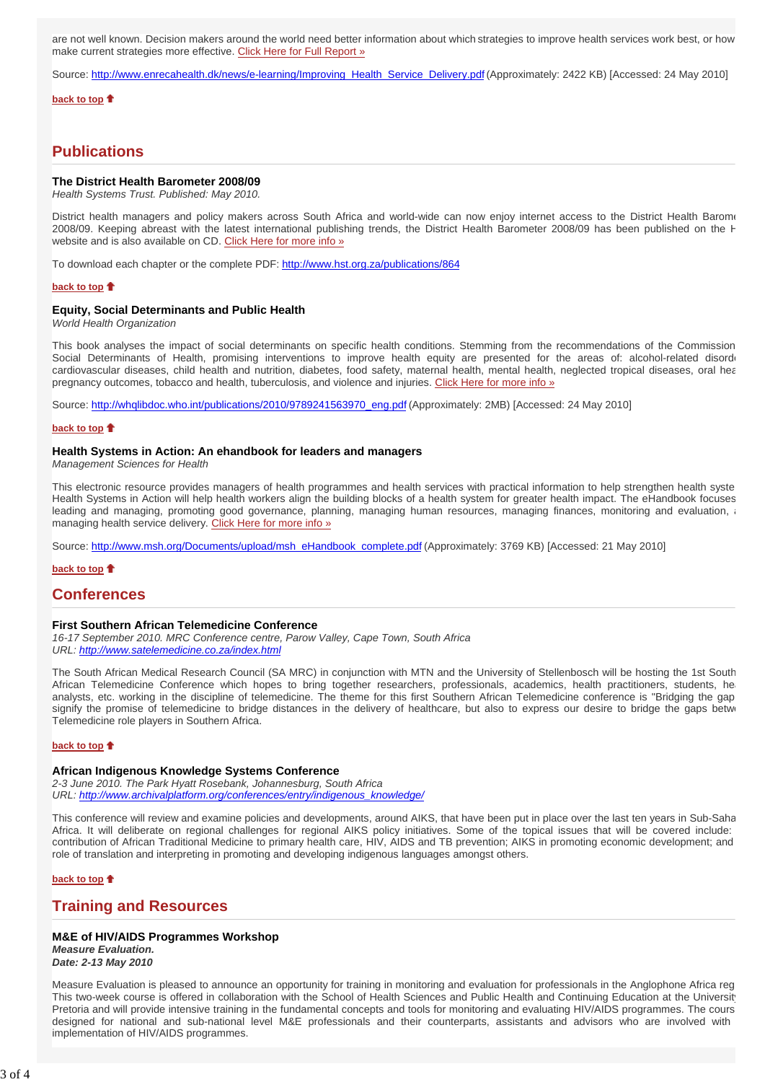are not well known. Decision makers around the world need better information about which strategies to improve health services work best, or how make current strategies more effective. Click Here for Full Report »

Source: http://www.enrecahealth.dk/news/e-learning/Improving\_Health\_Service\_Delivery.pdf (Approximately: 2422 KB) [Accessed: 24 May 2010]

**back to top**  $\bullet$ 

# **Publications**

#### **The District Health Barometer 2008/09**

*Health Systems Trust. Published: May 2010.*

District health managers and policy makers across South Africa and world-wide can now enjoy internet access to the District Health Barome 2008/09. Keeping abreast with the latest international publishing trends, the District Health Barometer 2008/09 has been published on the H website and is also available on CD. Click Here for more info »

To download each chapter or the complete PDF: http://www.hst.org.za/publications/864

#### **back to top**

### **Equity, Social Determinants and Public Health**

*World Health Organization*

This book analyses the impact of social determinants on specific health conditions. Stemming from the recommendations of the Commission Social Determinants of Health, promising interventions to improve health equity are presented for the areas of: alcohol-related disorde cardiovascular diseases, child health and nutrition, diabetes, food safety, maternal health, mental health, neglected tropical diseases, oral hea pregnancy outcomes, tobacco and health, tuberculosis, and violence and injuries. Click Here for more info »

Source: http://whqlibdoc.who.int/publications/2010/9789241563970\_eng.pdf (Approximately: 2MB) [Accessed: 24 May 2010]

#### **back to top**

#### **Health Systems in Action: An ehandbook for leaders and managers**

*Management Sciences for Health*

This electronic resource provides managers of health programmes and health services with practical information to help strengthen health syste Health Systems in Action will help health workers align the building blocks of a health system for greater health impact. The eHandbook focuses leading and managing, promoting good governance, planning, managing human resources, managing finances, monitoring and evaluation, managing health service delivery. Click Here for more info »

Source: http://www.msh.org/Documents/upload/msh\_eHandbook\_complete.pdf (Approximately: 3769 KB) [Accessed: 21 May 2010]

#### **back to top**

## **Conferences**

### **First Southern African Telemedicine Conference**

*16-17 September 2010. MRC Conference centre, Parow Valley, Cape Town, South Africa URL: http://www.satelemedicine.co.za/index.html*

The South African Medical Research Council (SA MRC) in conjunction with MTN and the University of Stellenbosch will be hosting the 1st South African Telemedicine Conference which hopes to bring together researchers, professionals, academics, health practitioners, students, hea analysts, etc. working in the discipline of telemedicine. The theme for this first Southern African Telemedicine conference is "Bridging the gap signify the promise of telemedicine to bridge distances in the delivery of healthcare, but also to express our desire to bridge the gaps betwe Telemedicine role players in Southern Africa.

#### **back to top**

#### **African Indigenous Knowledge Systems Conference**

*2-3 June 2010. The Park Hyatt Rosebank, Johannesburg, South Africa URL: http://www.archivalplatform.org/conferences/entry/indigenous\_knowledge/* 

This conference will review and examine policies and developments, around AIKS, that have been put in place over the last ten years in Sub-Saha Africa. It will deliberate on regional challenges for regional AIKS policy initiatives. Some of the topical issues that will be covered include: contribution of African Traditional Medicine to primary health care, HIV, AIDS and TB prevention; AIKS in promoting economic development; and role of translation and interpreting in promoting and developing indigenous languages amongst others.

#### **back to top**

# **Training and Resources**

## **M&E of HIV/AIDS Programmes Workshop**

*Measure Evaluation. Date: 2-13 May 2010*

Measure Evaluation is pleased to announce an opportunity for training in monitoring and evaluation for professionals in the Anglophone Africa reg This two-week course is offered in collaboration with the School of Health Sciences and Public Health and Continuing Education at the Universit Pretoria and will provide intensive training in the fundamental concepts and tools for monitoring and evaluating HIV/AIDS programmes. The cours designed for national and sub-national level M&E professionals and their counterparts, assistants and advisors who are involved with implementation of HIV/AIDS programmes.